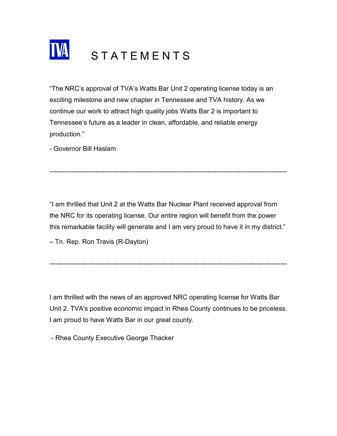

"The NRC's approval of TVA's Watts Bar Unit 2 operating license today is an exciting milestone and new chapter in Tennessee and TVA history. As we continue our work to attract high quality jobs Watts Bar 2 is important to Tennessee's future as a leader in clean, affordable, and reliable energy production."

- Governor Bill Haslam

"I am thrilled that Unit 2 at the Watts Bar Nuclear Plant received approval from the NRC for its operating license. Our entire region will benefit from the power this remarkable facility will generate and I am very proud to have it in my district."

------------------------------------------------------------------------------------------------------------

– Tn. Rep. Ron Travis (R-Dayton)

I am thrilled with the news of an approved NRC operating license for Watts Bar Unit 2. TVA's positive economic impact in Rhea County continues to be priceless. I am proud to have Watts Bar in our great county.

------------------------------------------------------------------------------------------------------------

- Rhea County Executive George Thacker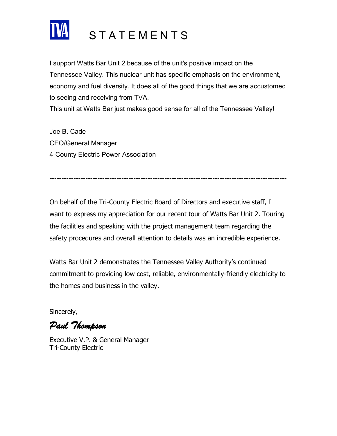

## **STATEMENTS**

I support Watts Bar Unit 2 because of the unit's positive impact on the Tennessee Valley. This nuclear unit has specific emphasis on the environment, economy and fuel diversity. It does all of the good things that we are accustomed to seeing and receiving from TVA.

This unit at Watts Bar just makes good sense for all of the Tennessee Valley!

Joe B. Cade CEO/General Manager 4-County Electric Power Association

---------------------------------------------------------------------------------------------------

On behalf of the Tri-County Electric Board of Directors and executive staff, I want to express my appreciation for our recent tour of Watts Bar Unit 2. Touring the facilities and speaking with the project management team regarding the safety procedures and overall attention to details was an incredible experience.

Watts Bar Unit 2 demonstrates the Tennessee Valley Authority's continued commitment to providing low cost, reliable, environmentally-friendly electricity to the homes and business in the valley.

Sincerely,

*Paul Thompson*

Executive V.P. & General Manager Tri-County Electric